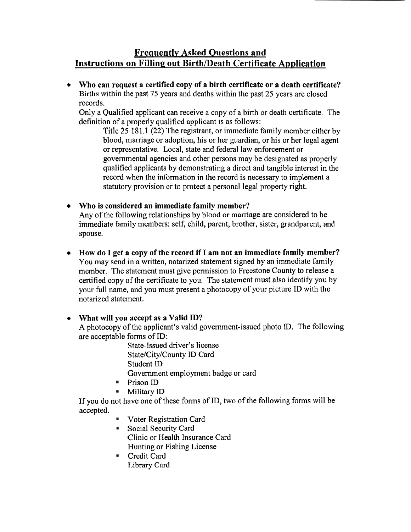# **Frequently Asked Questions and Instructions on Filling out Birth/Death Certificate Application**

**Who can request a certified copy of a birth certificate or a death certificate?**   $\bullet$ Births within the past 75 years and deaths within the past 25 years are closed records.

Only a Qualified applicant can receive a copy of a birth or death certificate. The definition of a properly qualified applicant is as follows:

Title 25 181.1 (22) The registrant, or immediate family member either by blood, marriage or adoption, his or her guardian, or his or her legal agent or representative. Local, state and federal law enforcement or governmental agencies and other persons may be designated as properly qualified applicants by demonstrating a direct and tangible interest in the record when the information in the record is necessary to implement a statutory provision or to protect a personal legal property right.

- **Who is considered an immediate family member?**  Any of the following relationships by blood or marriage are considered to be immediate family members: self, child, parent, brother, sister, grandparent, and spouse.
- **How do I get a copy of the record if I am not an immediate family member?**   $\bullet$ You may send in a written, notarized statement signed by an immediate family member. The statement must give permission to Freestone County to release a certified copy of the certificate to you. The statement must also identify you by your full name, and you must present a photocopy of your picture ID with the notarized statement.

## **What will you accept as a Valid ID?**

A photocopy of the applicant's valid government-issued photo ID. The following are acceptable forms of ID:

State-Issued driver's license State/City/County ID Card Student ID Government employment badge or card

- **Prison ID**
- **Military ID**

If you do not have one of these forms of ID, two of the following forms will be accepted.

- **Voter Registration Card**
- Social Security Card Clinic or Health Insurance Card Hunting or Fishing License
- Credit Card Library Card